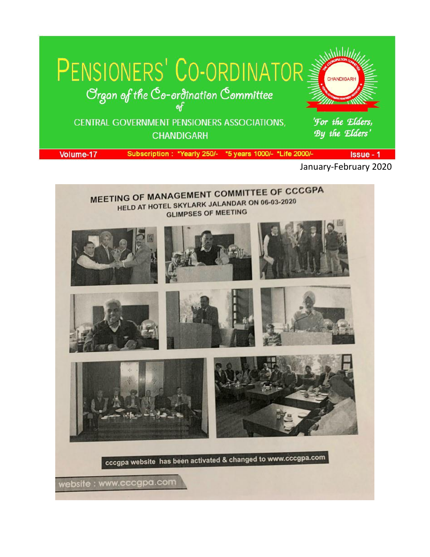

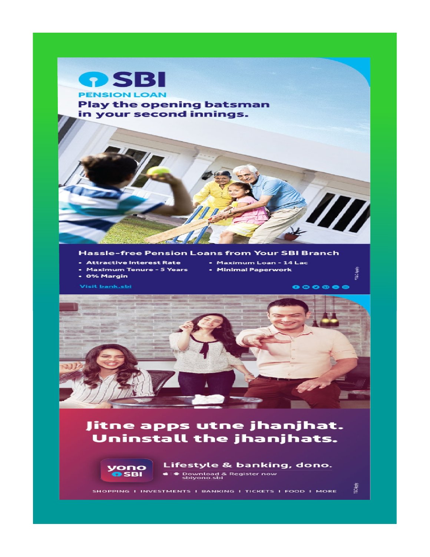

#### **Hassle-free Pension Loans from Your SBI Branch**

- **Attractive Interest Rate**
- Maximum Loan 14 Lac • Minimal Paperwork
- Maximum Tenure 5 Years
- 0% Margin

Visit <u>bank.sbi</u>



# Jitne apps utne jhanjhat. Uninstall the jhanjhats.



Lifestyle & banking, dono. ♦ Download & Register now<br>sbiyono.sbi

SHOPPING I INVESTMENTS I BANKING I TICKETS I FOOD I MORE

"T&C Apply.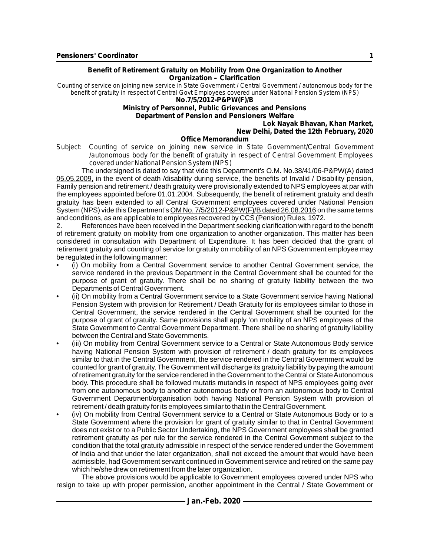**Benefit of Retirement Gratuity on Mobility from One Organization to Another Organization – Clarification**

*Counting of service on joining new service in State Government / Central Government / autonomous body for the benefit of gratuity in respect of Central Govt Employees covered under National Pension System (NPS)* **No.7/5/2012-P&PW(F)/B**

**Ministry of Personnel, Public Grievances and Pensions Department of Pension and Pensioners Welfare**

**Lok Nayak Bhavan, Khan Market, New Delhi, Dated the 12th February, 2020**

#### **Office Memorandum**

*Subject: Counting of service on joining new service in State Government/Central Government /autonomous body for the benefit of gratuity in respect of Central Government Employees covered under National Pension System (NPS)*

The undersigned is dated to say that vide this Department's O.M. No.38/41/06-P&PW(A) dated 05.05.2009, in the event of death /disability during service, the benefits of Invalid / Disability pension, Family pension and retirement / death gratuity were provisionally extended to NPS employees at par with the employees appointed before 01.01.2004. Subsequently, the benefit of retirement gratuity and death gratuity has been extended to all Central Government employees covered under National Pension System (NPS) vide this Department's OM No. 7/5/2012-P&PW(F)/B dated 26.08.2016 on the same terms and conditions, as are applicable to employees recovered by CCS (Pension) Rules, 1972.

2. References have been received in the Department seeking clarification with regard to the benefit of retirement gratuity on mobility from one organization to another organization. This matter has been considered in consultation with Department of Expenditure. It has been decided that the grant of retirement gratuity and counting of service for gratuity on mobility of an NPS Government employee may be regulated in the following manner:

- (i) On mobility from a Central Government service to another Central Government service, the service rendered in the previous Department in the Central Government shall be counted for the purpose of grant of gratuity. There shall be no sharing of gratuity liability between the two Departments of Central Government.
- (ii) On mobility from a Central Government service to a State Government service having National Pension System with provision for Retirement / Death Gratuity for its employees similar to those in Central Government, the service rendered in the Central Government shall be counted for the purpose of grant of gratuity. Same provisions shall apply 'on mobility of an NPS employees of the State Government to Central Government Department. There shall be no sharing of gratuity liability between the Central and State Governments.
- (iii) On mobility from Central Government service to a Central or State Autonomous Body service having National Pension System with provision of retirement / death gratuity for its employees similar to that in the Central Government, the service rendered in the Central Government would be counted for grant of gratuity. The Government will discharge its gratuity liability by paying the amount of retirement gratuity for the service rendered in the Government to the Central or State Autonomous body. This procedure shall be followed mutatis mutandis in respect of NPS employees going over from one autonomous body to another autonomous body or from an autonomous body to Central Government Department/organisation both having National Pension System with provision of retirement / death gratuity for its employees similar to that in the Central Government.
- (iv) On mobility from Central Government service to a Central or State Autonomous Body or to a State Government where the provision for grant of gratuity similar to that in Central Government does not exist or to a Public Sector Undertaking, the NPS Government employees shall be granted retirement gratuity as per rule for the service rendered in the Central Government subject to the condition that the total gratuity admissible in respect of the service rendered under the Government of India and that under the later organization, shall not exceed the amount that would have been admissible, had Government servant continued in Government service and retired on the same pay which he/she drew on retirement from the later organization.

The above provisions would be applicable to Government employees covered under NPS who resign to take up with proper permission, another appointment in the Central / State Government or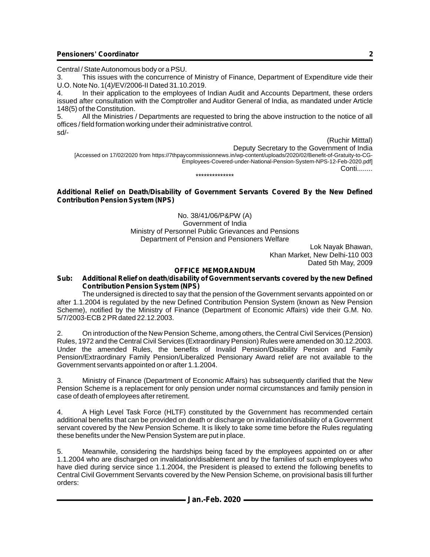Central / State Autonomous body or a PSU.

3. This issues with the concurrence of Ministry of Finance, Department of Expenditure vide their U.O. Note No. 1(4)/EV/2006-II Dated 31.10.2019.

4. In their application to the employees of Indian Audit and Accounts Department, these orders issued after consultation with the Comptroller and Auditor General of India, as mandated under Article 148(5) of the Constitution.

5. All the Ministries / Departments are requested to bring the above instruction to the notice of all offices / field formation working under their administrative control. sd/-

(Ruchir Mitttal) Deputy Secretary to the Government of India [Accessed on 17/02/2020 from https://7thpaycommissionnews.in/wp-content/uploads/2020/02/Benefit-of-Gratuity-to-CG-Employees-Covered-under-National-Pension-System-NPS-12-Feb-2020.pdf] Conti........ \*\*\*\*\*\*\*\*\*\*\*\*\*\*

#### **Additional Relief on Death/Disability of Government Servants Covered By the New Defined Contribution Pension System (NPS)**

No. 38/41/06/P&PW (A) Government of India Ministry of Personnel Public Grievances and Pensions Department of Pension and Pensioners Welfare

Lok Nayak Bhawan, Khan Market, New Delhi-110 003 Dated 5th May, 2009

#### **OFFICE MEMORANDUM**

#### *Sub: Additional Relief on death/disability of Government servants covered by the new Defined Contribution Pension System (NPS)*

The undersigned is directed to say that the pension of the Government servants appointed on or after 1.1.2004 is regulated by the new Defined Contribution Pension System (known as New Pension Scheme), notified by the Ministry of Finance (Department of Economic Affairs) vide their G.M. No. 5/7/2003-ECB 2 PR dated 22.12.2003.

2. On introduction of the New Pension Scheme, among others, the Central Civil Services (Pension) Rules, 1972 and the Central Civil Services (Extraordinary Pension) Rules were amended on 30.12.2003. Under the amended Rules, the benefits of Invalid Pension/Disability Pension and Family Pension/Extraordinary Family Pension/Liberalized Pensionary Award relief are not available to the Government servants appointed on or after 1.1.2004.

3. Ministry of Finance (Department of Economic Affairs) has subsequently clarified that the New Pension Scheme is a replacement for only pension under normal circumstances and family pension in case of death of employees after retirement.

4. A High Level Task Force (HLTF) constituted by the Government has recommended certain additional benefits that can be provided on death or discharge on invalidation/disability of a Government servant covered by the New Pension Scheme. It is likely to take some time before the Rules regulating these benefits under the New Pension System are put in place.

5. Meanwhile, considering the hardships being faced by the employees appointed on or after 1.1.2004 who are discharged on invalidation/disablement and by the families of such employees who have died during service since 1.1.2004, the President is pleased to extend the following benefits to Central Civil Government Servants covered by the New Pension Scheme, on provisional basis till further orders:

**2**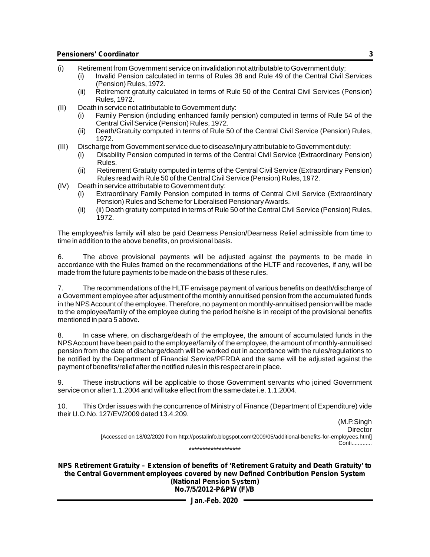- (i) Retirement from Government service on invalidation not attributable to Government duty;
	- (i) Invalid Pension calculated in terms of Rules 38 and Rule 49 of the Central Civil Services (Pension) Rules, 1972.
		- (ii) Retirement gratuity calculated in terms of Rule 50 of the Central Civil Services (Pension) Rules, 1972.
- (II) Death in service not attributable to Government duty:
	- (i) Family Pension (including enhanced family pension) computed in terms of Rule 54 of the Central Civil Service (Pension) Rules, 1972.
	- (ii) Death/Gratuity computed in terms of Rule 50 of the Central Civil Service (Pension) Rules, 1972.
- (III) Discharge from Government service due to disease/injury attributable to Government duty:
	- (i) Disability Pension computed in terms of the Central Civil Service (Extraordinary Pension) Rules.
	- (ii) Retirement Gratuity computed in terms of the Central Civil Service (Extraordinary Pension) Rules read with Rule 50 of the Central Civil Service (Pension) Rules, 1972.
- (IV) Death in service attributable to Government duty:
	- (i) Extraordinary Family Pension computed in terms of Central Civil Service (Extraordinary Pension) Rules and Scheme for Liberalised Pensionary Awards.
	- (ii) (ii) Death gratuity computed in terms of Rule 50 of the Central Civil Service (Pension) Rules, 1972.

The employee/his family will also be paid Dearness Pension/Dearness Relief admissible from time to time in addition to the above benefits, on provisional basis.

6. The above provisional payments will be adjusted against the payments to be made in accordance with the Rules framed on the recommendations of the HLTF and recoveries, if any, will be made from the future payments to be made on the basis of these rules.

7. The recommendations of the HLTF envisage payment of various benefits on death/discharge of a Government employee after adjustment of the monthly annuitised pension from the accumulated funds in the NPS Account of the employee. Therefore, no payment on monthly-annuitised pension will be made to the employee/family of the employee during the period he/she is in receipt of the provisional benefits mentioned in para 5 above.

8. In case where, on discharge/death of the employee, the amount of accumulated funds in the NPS Account have been paid to the employee/family of the employee, the amount of monthly-annuitised pension from the date of discharge/death will be worked out in accordance with the rules/regulations to be notified by the Department of Financial Service/PFRDA and the same will be adjusted against the payment of benefits/relief after the notified rules in this respect are in place.

9. These instructions will be applicable to those Government servants who joined Government service on or after 1.1.2004 and will take effect from the same date i.e. 1.1.2004.

10. This Order issues with the concurrence of Ministry of Finance (Department of Expenditure) vide their U.O.No. 127/EV/2009 dated 13.4.209.

 (M.P.Singh **Director** [Accessed on 18/02/2020 from http://postalinfo.blogspot.com/2009/05/additional-benefits-for-employees.html] Conti............. \*\*\*\*\*\*\*\*\*\*\*\*\*\*\*\*\*\*\*

**NPS Retirement Gratuity – Extension of benefits of 'Retirement Gratuity and Death Gratuity' to the Central Government employees covered by new Defined Contribution Pension System (National Pension System) No.7/5/2012-P&PW (F)/B**

**Jan.-Feb. 2020**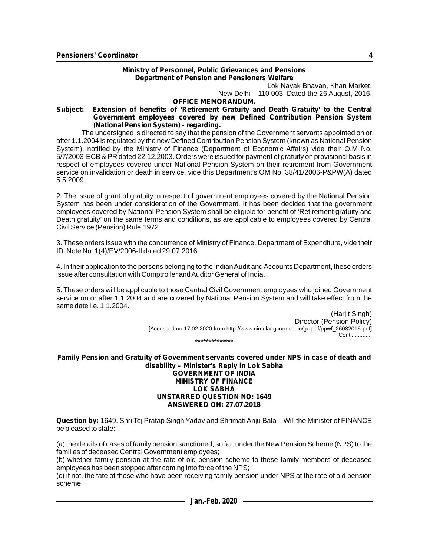#### **Ministry of Personnel, Public Grievances and Pensions Department of Pension and Pensioners Welfare**

Lok Nayak Bhavan, Khan Market,

New Delhi – 110 003, Dated the 26 August, 2016.

#### **OFFICE MEMORANDUM.**

#### **Subject: Extension of benefits of 'Retirement Gratuity and Death Gratuity' to the Central Government employees covered by new Defined Contribution Pension System (National Pension System) – regarding.**

The undersigned is directed to say that the pension of the Government servants appointed on or after 1.1.2004 is regulated by the new Defined Contribution Pension System (known as National Pension System), notified by the Ministry of Finance (Department of Economic Affairs) vide their O.M No. 5/7/2003-ECB & PR dated 22.12.2003. Orders were issued for payment of gratuity on provisional basis in respect of employees covered under National Pension System on their retirement from Government service on invalidation or death in service, vide this Department's OM No. 38/41/2006-P&PW(A) dated 5.5.2009.

2. The issue of grant of gratuity in respect of government employees covered by the National Pension System has been under consideration of the Government. It has been decided that the government employees covered by National Pension System shall be eligible for benefit of 'Retirement gratuity and Death gratuity' on the same terms and conditions, as are applicable to employees covered by Central Civil Service (Pension) Rule,1972.

3. These orders issue with the concurrence of Ministry of Finance, Department of Expenditure, vide their ID. Note No. 1(4)/EV/2006-II dated 29.07.2016.

4. In their application to the persons belonging to the Indian Audit and Accounts Department, these orders issue after consultation with Comptroller and Auditor General of India.

5. These orders will be applicable to those Central Civil Government employees who joined Government service on or after 1.1.2004 and are covered by National Pension System and will take effect from the same date i.e. 1.1.2004.

> (Harjit Singh) Director (Pension Policy) [Accessed on 17.02.2020 from http://www.circular.gconnect.in/gc-pdf/ppwf\_26082016-pdf] Conti............. \*\*\*\*\*\*\*\*\*\*\*\*\*\*

**Family Pension and Gratuity of Government servants covered under NPS in case of death and disability – Minister's Reply in Lok Sabha GOVERNMENT OF INDIA MINISTRY OF FINANCE LOK SABHA UNSTARRED QUESTION NO: 1649 ANSWERED ON: 27.07.2018**

**Question by:** 1649. Shri Tej Pratap Singh Yadav and Shrimati Anju Bala – Will the Minister of FINANCE be pleased to state:-

(a) the details of cases of family pension sanctioned, so far, under the New Pension Scheme (NPS) to the families of deceased Central Government employees;

(b) whether family pension at the rate of old pension scheme to these family members of deceased employees has been stopped after coming into force of the NPS;

(c) if not, the fate of those who have been receiving family pension under NPS at the rate of old pension scheme;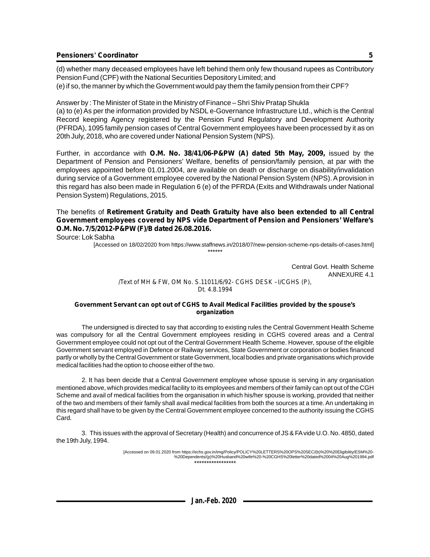(d) whether many deceased employees have left behind them only few thousand rupees as Contributory Pension Fund (CPF) with the National Securities Depository Limited; and (e) if so, the manner by which the Government would pay them the family pension from their CPF?

Answer by : The Minister of State in the Ministry of Finance – Shri Shiv Pratap Shukla (a) to (e) As per the information provided by NSDLe-Governance Infrastructure Ltd., which is the Central Record keeping Agency registered by the Pension Fund Regulatory and Development Authority (PFRDA), 1095 family pension cases of Central Government employees have been processed by it as on 20th July, 2018, who are covered under National Pension System (NPS).

Further, in accordance with **O.M. No. 38/41/06-P&PW (A) dated 5th May, 2009,** issued by the Department of Pension and Pensioners' Welfare, benefits of pension/family pension, at par with the employees appointed before 01.01.2004, are available on death or discharge on disability/invalidation during service of a Government employee covered by the National Pension System (NPS). Aprovision in this regard has also been made in Regulation 6 (e) of the PFRDA (Exits and Withdrawals under National Pension System) Regulations, 2015.

The benefits of **Retirement Gratuity and Death Gratuity have also been extended to all Central Government employees covered by NPS vide Department of Pension and Pensioners' Welfare's O.M. No. 7/5/2012-P&PW (F)/B dated 26.08.2016.**

Source: Lok Sabha

[Accessed on 18/02/2020 from https://www.staffnews.in/2018/07/new-pension-scheme-nps-details-of-cases.html] \*\*\*\*\*\*

> Central Govt. Health Scheme ANNEXURE 4.1

*/Text of MH & FW, OM No. S.11011/6/92- CGHS DESK –I/CGHS (P), Dt. 4.8.1994*

#### **Government Servant can opt out of CGHS to Avail Medical Facilities provided by the spouse's organization**

The undersigned is directed to say that according to existing rules the Central Government Health Scheme was compulsory for all the Central Government employees residing in CGHS covered areas and a Central Government employee could not opt out of the Central Government Health Scheme. However, spouse of the eligible Government servant employed in Defence or Railway services, State Government or corporation or bodies financed partly or wholly by the Central Government or state Government, local bodies and private organisations which provide medical facilities had the option to choose either of the two.

2. It has been decide that a Central Government employee whose spouse is serving in any organisation mentioned above, which provides medical facility to its employees and members of their family can opt out of the CGH Scheme and avail of medical facilities from the organisation in which his/her spouse is working, provided that neither of the two and members of their family shall avail medical facilities from both the sources at a time. An undertaking in this regard shall have to be given by the Central Government employee concerned to the authority issuing the CGHS Card.

3. This issues with the approval of Secretary (Health) and concurrence of JS & FAvide U.O. No. 4850, dated the 19th July, 1994.

> [Accessed on 09.01.2020 from https://echs.gov.in/img/Policy/POLICY%20LETTERS%20OPS%20SEC/(b)%20%20Eligibility/ESM%20- %20Dependents/(p)%20Husband%20wife%20-%20CGHS%20letter%20dated%2004%20Aug%201994.pdf \*\*\*\*\*\*\*\*\*\*\*\*\*\*\*\*\*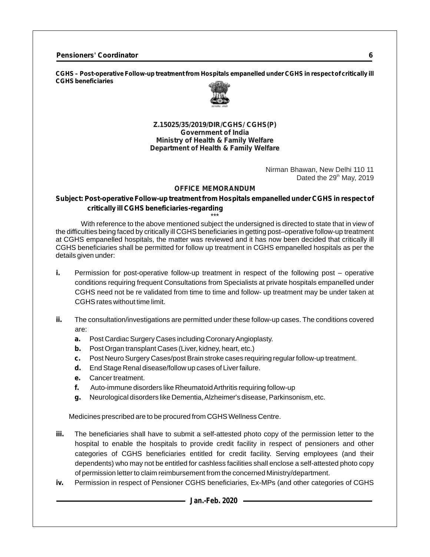**CGHS – Post-operative Follow-up treatment from Hospitals empanelled under CGHS in respect of critically ill CGHS beneficiaries**



**Z.15025/35/2019/DIR/CGHS/ CGHS(P) Government of India Ministry of Health & Family Welfare Department of Health & Family Welfare**

> Nirman Bhawan, New Delhi 110 11 Dated the  $29<sup>th</sup>$  May, 2019

#### **OFFICE MEMORANDUM**

### **Subject: Post-operative Follow-up treatment from Hospitals empanelled under CGHS in respect of critically ill CGHS beneficiaries-regarding**

\*\*\* With reference to the above mentioned subject the undersigned is directed to state that in view of the difficulties being faced by critically ill CGHS beneficiaries in getting post–operative follow-up treatment at CGHS empanelled hospitals, the matter was reviewed and it has now been decided that critically ill CGHS beneficiaries shall be permitted for follow up treatment in CGHS empanelled hospitals as per the details given under:

- **i.** Permission for post-operative follow-up treatment in respect of the following post operative conditions requiring frequent Consultations from Specialists at private hospitals empanelled under CGHS need not be re validated from time to time and follow- up treatment may be under taken at CGHS rates without time limit.
- **ii.** The consultation/investigations are permitted under these follow-up cases. The conditions covered are:
	- **a.** Post Cardiac Surgery Cases including Coronary Angioplasty.
	- **b.** Post Organ transplant Cases (Liver, kidney, heart, etc.)
	- **c.** Post Neuro Surgery Cases/post Brain stroke cases requiring regular follow-up treatment.
	- **d.** End Stage Renal disease/follow up cases of Liver failure.
	- **e.** Cancer treatment.
	- **f.** Auto-immune disorders like Rheumatoid Arthritis requiring follow-up
	- **g.** Neurological disorders like Dementia, Alzheimer's disease, Parkinsonism, etc.

Medicines prescribed are to be procured from CGHS Wellness Centre.

- **iii.** The beneficiaries shall have to submit a self-attested photo copy of the permission letter to the hospital to enable the hospitals to provide credit facility in respect of pensioners and other categories of CGHS beneficiaries entitled for credit facility. Serving employees (and their dependents) who may not be entitled for cashless facilities shall enclose a self-attested photo copy of permission letter to claim reimbursement from the concerned Ministry/department.
- **iv.** Permission in respect of Pensioner CGHS beneficiaries, Ex-MPs (and other categories of CGHS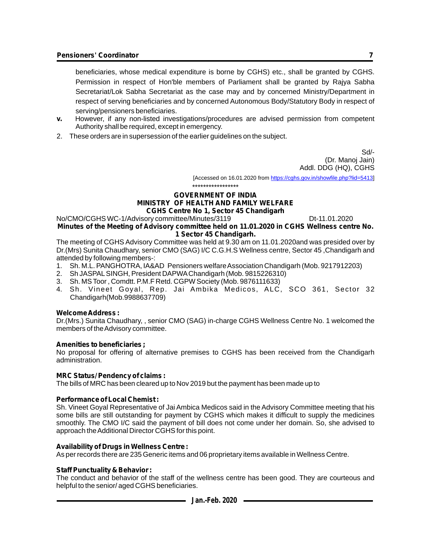beneficiaries, whose medical expenditure is borne by CGHS) etc., shall be granted by CGHS. Permission in respect of Hon'ble members of Parliament shall be granted by Rajya Sabha Secretariat/Lok Sabha Secretariat as the case may and by concerned Ministry/Department in respect of serving beneficiaries and by concerned Autonomous Body/Statutory Body in respect of serving/pensioners beneficiaries.

- **v.** However, if any non-listed investigations/procedures are advised permission from competent Authority shall be required, except in emergency.
- 2. These orders are in supersession of the earlier guidelines on the subject.

Sd/- (Dr. Manoj Jain) Addl. DDG (HQ), CGHS

[Accessed on 16.01.2020 from https://cghs.gov.in/showfile.php?lid=5413]

\*\*\*\*\*\*\*\*\*\*\*\*\*\*\*\*\*

#### **GOVERNMENT OF INDIA MINISTRY OF HEALTH AND FAMILY WELFARE CGHS Centre No 1, Sector 45 Chandigarh**

#### No/CMO/CGHS WC-1/Advisory committee/Minutes/3119 Dt-11.01.2020 **Minutes of the Meeting of Advisory committee held on 11.01.2020 in CGHS Wellness centre No. 1 Sector 45 Chandigarh.**

The meeting of CGHS Advisory Committee was held at 9.30 am on 11.01.2020and was presided over by Dr.(Mrs) Sunita Chaudhary, senior CMO (SAG) I/C C.G.H.S Wellness centre, Sector 45 ,Chandigarh and attended by following members-:

- 1. Sh. M.L. PANGHOTRA, IA&AD Pensioners welfare Association Chandigarh (Mob. 9217912203)
- 2. Sh JASPALSINGH, President DAPWAChandigarh (Mob. 9815226310)
- 3. Sh. MS Toor , Comdtt. P.M.F Retd. CGPW Society (Mob. 9876111633)
- 4. Sh. Vineet Goyal, Rep. Jai Ambika Medicos, ALC, SCO 361, Sector 32 Chandigarh(Mob.9988637709)

#### **Welcome Address :**

Dr.(Mrs.) Sunita Chaudhary, , senior CMO (SAG) in-charge CGHS Wellness Centre No. 1 welcomed the members of the Advisory committee.

#### **Amenities to beneficiaries ;**

No proposal for offering of alternative premises to CGHS has been received from the Chandigarh administration.

#### **MRC Status/ Pendency of claims :**

The bills of MRC has been cleared up to Nov 2019 but the payment has been made up to

### **Performance of Local Chemist :**

Sh. Vineet Goyal Representative of Jai Ambica Medicos said in the Advisory Committee meeting that his some bills are still outstanding for payment by CGHS which makes it difficult to supply the medicines smoothly. The CMO I/C said the payment of bill does not come under her domain. So, she advised to approach the Additional Director CGHS for this point.

### **Availability of Drugs in Wellness Centre :**

As per records there are 235 Generic items and 06 proprietary items available in Wellness Centre.

#### **Staff Punctuality & Behavior :**

The conduct and behavior of the staff of the wellness centre has been good. They are courteous and helpful to the senior/ aged CGHS beneficiaries.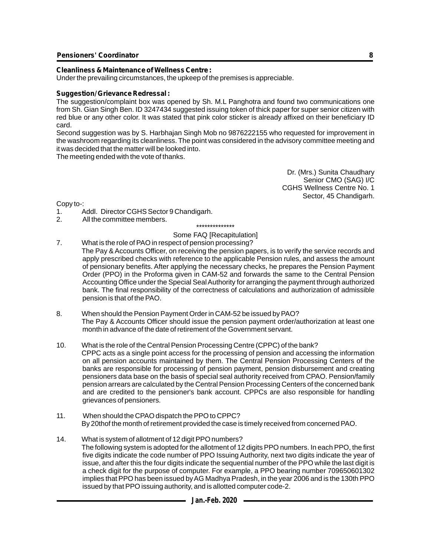#### **Cleanliness & Maintenance of Wellness Centre :**

Under the prevailing circumstances, the upkeep of the premises is appreciable.

#### **Suggestion/ Grievance Redressal :**

The suggestion/complaint box was opened by Sh. M.L Panghotra and found two communications one from Sh. Gian Singh Ben. ID 3247434 suggested issuing token of thick paper for super senior citizen with red blue or any other color. It was stated that pink color sticker is already affixed on their beneficiary ID card.

Second suggestion was by S. Harbhajan Singh Mob no 9876222155 who requested for improvement in the washroom regarding its cleanliness. The point was considered in the advisory committee meeting and it was decided that the matter will be looked into.

The meeting ended with the vote of thanks.

Dr. (Mrs.) Sunita Chaudhary Senior CMO (SAG) I/C CGHS Wellness Centre No. 1 Sector, 45 Chandigarh.

Copy to-:

- 1. Addl. Director CGHS Sector 9 Chandigarh.
- 2. All the committee members.

\*\*\*\*\*\*\*\*\*\*\*\*\*\*

### Some FAQ [Recapitulation]

- 7. What is the role of PAO in respect of pension processing? The Pay & Accounts Officer, on receiving the pension papers, is to verify the service records and apply prescribed checks with reference to the applicable Pension rules, and assess the amount of pensionary benefits. After applying the necessary checks, he prepares the Pension Payment Order (PPO) in the Proforma given in CAM-52 and forwards the same to the Central Pension Accounting Office under the Special Seal Authority for arranging the payment through authorized bank. The final responsibility of the correctness of calculations and authorization of admissible pension is that of the PAO.
- 8. When should the Pension Payment Order in CAM-52 be issued by PAO? The Pay & Accounts Officer should issue the pension payment order/authorization at least one month in advance of the date of retirement of the Government servant.
- 10. What is the role of the Central Pension Processing Centre (CPPC) of the bank? CPPC acts as a single point access for the processing of pension and accessing the information on all pension accounts maintained by them. The Central Pension Processing Centers of the banks are responsible for processing of pension payment, pension disbursement and creating pensioners data base on the basis of special seal authority received from CPAO. Pension/family pension arrears are calculated by the Central Pension Processing Centers of the concerned bank and are credited to the pensioner's bank account. CPPCs are also responsible for handling grievances of pensioners.
- 11. When should the CPAO dispatch the PPO to CPPC? By 20thof the month of retirement provided the case is timely received from concerned PAO.
- 14. What is system of allotment of 12 digit PPO numbers? The following system is adopted for the allotment of 12 digits PPO numbers. In each PPO, the first five digits indicate the code number of PPO Issuing Authority, next two digits indicate the year of issue, and after this the four digits indicate the sequential number of the PPO while the last digit is a check digit for the purpose of computer. For example, a PPO bearing number 709650601302 implies that PPO has been issued by AG Madhya Pradesh, in the year 2006 and is the 130th PPO issued by that PPO issuing authority, and is allotted computer code-2.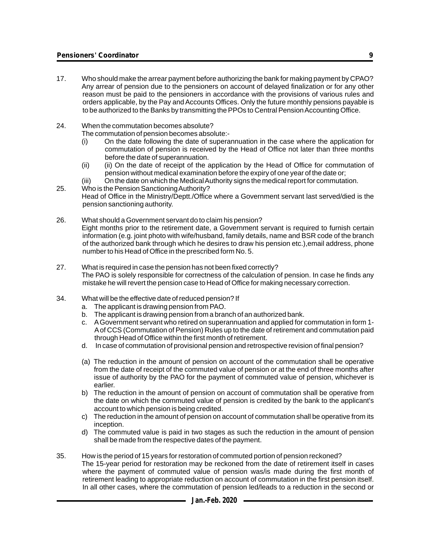- 17. Who should make the arrear payment before authorizing the bank for making payment by CPAO? Any arrear of pension due to the pensioners on account of delayed finalization or for any other reason must be paid to the pensioners in accordance with the provisions of various rules and orders applicable, by the Pay and Accounts Offices. Only the future monthly pensions payable is to be authorized to the Banks by transmitting the PPOs to Central Pension Accounting Office.
- 24. When the commutation becomes absolute?

The commutation of pension becomes absolute:-

- (i) On the date following the date of superannuation in the case where the application for commutation of pension is received by the Head of Office not later than three months before the date of superannuation.
- (ii) (ii) On the date of receipt of the application by the Head of Office for commutation of pension without medical examination before the expiry of one year of the date or;
- (iii) On the date on which the Medical Authority signs the medical report for commutation.
- 25. Who is the Pension Sanctioning Authority? Head of Office in the Ministry/Deptt./Office where a Government servant last served/died is the pension sanctioning authority.
- 26. What should a Government servant do to claim his pension? Eight months prior to the retirement date, a Government servant is required to furnish certain information (e.g. joint photo with wife/husband, family details, name and BSR code of the branch of the authorized bank through which he desires to draw his pension etc.),email address, phone number to his Head of Office in the prescribed form No. 5.
- 27. What is required in case the pension has not been fixed correctly? The PAO is solely responsible for correctness of the calculation of pension. In case he finds any mistake he will revert the pension case to Head of Office for making necessary correction.
- 34. What will be the effective date of reduced pension? If
	- a. The applicant is drawing pension from PAO.
	- b. The applicant is drawing pension from a branch of an authorized bank.
	- c. AGovernment servant who retired on superannuation and applied for commutation in form 1- Aof CCS (Commutation of Pension) Rules up to the date of retirement and commutation paid through Head of Office within the first month of retirement.
	- d. In case of commutation of provisional pension and retrospective revision of final pension?
	- (a) The reduction in the amount of pension on account of the commutation shall be operative from the date of receipt of the commuted value of pension or at the end of three months after issue of authority by the PAO for the payment of commuted value of pension, whichever is earlier.
	- b) The reduction in the amount of pension on account of commutation shall be operative from the date on which the commuted value of pension is credited by the bank to the applicant's account to which pension is being credited.
	- c) The reduction in the amount of pension on account of commutation shall be operative from its inception.
	- d) The commuted value is paid in two stages as such the reduction in the amount of pension shall be made from the respective dates of the payment.
- 35. How is the period of 15 years for restoration of commuted portion of pension reckoned? The 15-year period for restoration may be reckoned from the date of retirement itself in cases where the payment of commuted value of pension was/is made during the first month of retirement leading to appropriate reduction on account of commutation in the first pension itself. In all other cases, where the commutation of pension led/leads to a reduction in the second or

**9**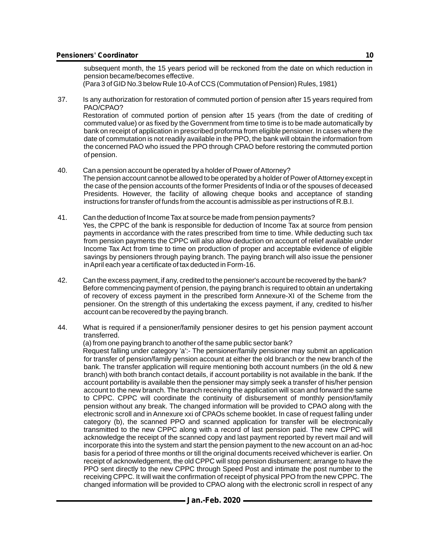of pension.

subsequent month, the 15 years period will be reckoned from the date on which reduction in pension became/becomes effective.

(Para 3 of GID No.3 below Rule 10-Aof CCS (Commutation of Pension) Rules, 1981)

- 37. Is any authorization for restoration of commuted portion of pension after 15 years required from PAO/CPAO? Restoration of commuted portion of pension after 15 years (from the date of crediting of commuted value) or as fixed by the Government from time to time is to be made automatically by bank on receipt of application in prescribed proforma from eligible pensioner. In cases where the date of commutation is not readily available in the PPO, the bank will obtain the information from the concerned PAO who issued the PPO through CPAO before restoring the commuted portion
- 40. Can a pension account be operated by a holder of Power of Attorney? The pension account cannot be allowed to be operated by a holder of Power of Attorney except in the case of the pension accounts of the former Presidents of India or of the spouses of deceased Presidents. However, the facility of allowing cheque books and acceptance of standing instructions for transfer of funds from the account is admissible as per instructions of R.B.I.
- 41. Can the deduction of Income Tax at source be made from pension payments? Yes, the CPPC of the bank is responsible for deduction of Income Tax at source from pension payments in accordance with the rates prescribed from time to time. While deducting such tax from pension payments the CPPC will also allow deduction on account of relief available under Income Tax Act from time to time on production of proper and acceptable evidence of eligible savings by pensioners through paying branch. The paying branch will also issue the pensioner in April each year a certificate of tax deducted in Form-16.
- 42. Can the excess payment, if any, credited to the pensioner's account be recovered by the bank? Before commencing payment of pension, the paying branch is required to obtain an undertaking of recovery of excess payment in the prescribed form Annexure-XI of the Scheme from the pensioner. On the strength of this undertaking the excess payment, if any, credited to his/her account can be recovered by the paying branch.
- 44. What is required if a pensioner/family pensioner desires to get his pension payment account transferred.

(a) from one paying branch to another of the same public sector bank? Request falling under category 'a':- The pensioner/family pensioner may submit an application for transfer of pension/family pension account at either the old branch or the new branch of the bank. The transfer application will require mentioning both account numbers (in the old & new branch) with both branch contact details, if account portability is not available in the bank. If the account portability is available then the pensioner may simply seek a transfer of his/her pension account to the new branch. The branch receiving the application will scan and forward the same to CPPC. CPPC will coordinate the continuity of disbursement of monthly pension/family pension without any break. The changed information will be provided to CPAO along with the electronic scroll and in Annexure xxi of CPAOs scheme booklet. In case of request falling under category (b), the scanned PPO and scanned application for transfer will be electronically transmitted to the new CPPC along with a record of last pension paid. The new CPPC will acknowledge the receipt of the scanned copy and last payment reported by revert mail and will incorporate this into the system and start the pension payment to the new account on an ad-hoc basis for a period of three months or till the original documents received whichever is earlier. On receipt of acknowledgement, the old CPPC will stop pension disbursement; arrange to have the PPO sent directly to the new CPPC through Speed Post and intimate the post number to the receiving CPPC. It will wait the confirmation of receipt of physical PPO from the new CPPC. The changed information will be provided to CPAO along with the electronic scroll in respect of any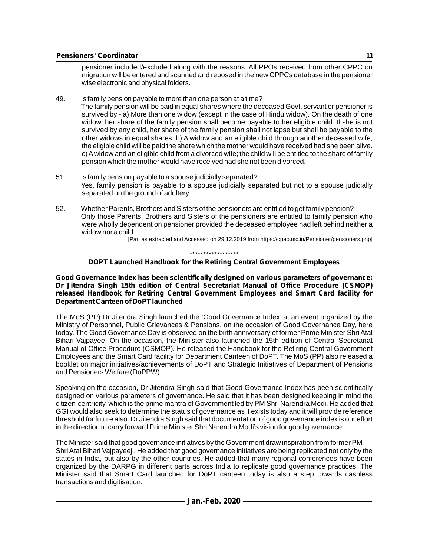pensioner included/excluded along with the reasons. All PPOs received from other CPPC on migration will be entered and scanned and reposed in the new CPPCs database in the pensioner wise electronic and physical folders.

- 49. Is family pension payable to more than one person at a time? The family pension will be paid in equal shares where the deceased Govt. servant or pensioner is survived by - a) More than one widow (except in the case of Hindu widow). On the death of one widow, her share of the family pension shall become payable to her eligible child. If she is not survived by any child, her share of the family pension shall not lapse but shall be payable to the other widows in equal shares. b) A widow and an eligible child through another deceased wife; the eligible child will be paid the share which the mother would have received had she been alive. c) Awidow and an eligible child from a divorced wife; the child will be entitled to the share of family pension which the mother would have received had she not been divorced.
- 51. Is family pension payable to a spouse judicially separated? Yes, family pension is payable to a spouse judicially separated but not to a spouse judicially separated on the ground of adultery.
- 52. Whether Parents, Brothers and Sisters of the pensioners are entitled to get family pension? Only those Parents, Brothers and Sisters of the pensioners are entitled to family pension who were wholly dependent on pensioner provided the deceased employee had left behind neither a widow nor a child.

[Part as extracted and Accessed on 29.12.2019 from https://cpao.nic.in/Pensioner/pensioners.php]

\*\*\*\*\*\*\*\*\*\*\*\*\*\*\*\*\*\*

#### **DOPT Launched Handbook for the Retiring Central Government Employees**

**Good Governance Index has been scientifically designed on various parameters of governance: Dr Jitendra Singh 15th edition of Central Secretariat Manual of Office Procedure (CSMOP) released Handbook for Retiring Central Government Employees and Smart Card facility for Department Canteen of DoPT launched**

The MoS (PP) Dr Jitendra Singh launched the 'Good Governance Index' at an event organized by the Ministry of Personnel, Public Grievances & Pensions, on the occasion of Good Governance Day, here today. The Good Governance Day is observed on the birth anniversary of former Prime Minister Shri Atal Bihari Vajpayee. On the occasion, the Minister also launched the 15th edition of Central Secretariat Manual of Office Procedure (CSMOP). He released the Handbook for the Retiring Central Government Employees and the Smart Card facility for Department Canteen of DoPT. The MoS (PP) also released a booklet on major initiatives/achievements of DoPT and Strategic Initiatives of Department of Pensions and Pensioners Welfare (DoPPW).

Speaking on the occasion, Dr Jitendra Singh said that Good Governance Index has been scientifically designed on various parameters of governance. He said that it has been designed keeping in mind the citizen-centricity, which is the prime mantra of Government led by PM Shri Narendra Modi. He added that GGI would also seek to determine the status of governance as it exists today and it will provide reference threshold for future also. Dr Jitendra Singh said that documentation of good governance index is our effort in the direction to carry forward Prime Minister Shri Narendra Modi's vision for good governance.

The Minister said that good governance initiatives by the Government draw inspiration from former PM Shri Atal Bihari Vajpayeeji. He added that good governance initiatives are being replicated not only by the states in India, but also by the other countries. He added that many regional conferences have been organized by the DARPG in different parts across India to replicate good governance practices. The Minister said that Smart Card launched for DoPT canteen today is also a step towards cashless transactions and digitisation.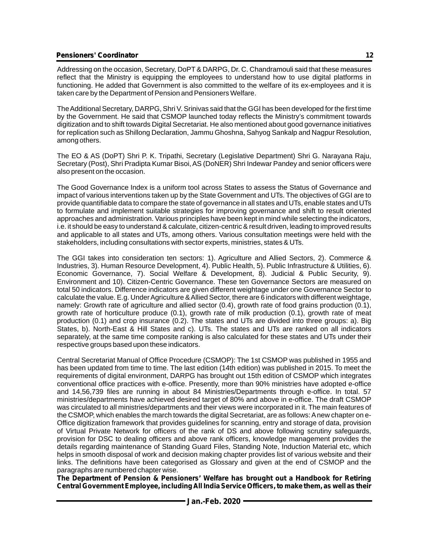Addressing on the occasion, Secretary, DoPT & DARPG, Dr. C. Chandramouli said that these measures reflect that the Ministry is equipping the employees to understand how to use digital platforms in functioning. He added that Government is also committed to the welfare of its ex-employees and it is taken care by the Department of Pension and Pensioners Welfare.

The Additional Secretary, DARPG, Shri V. Srinivas said that the GGI has been developed for the first time by the Government. He said that CSMOP launched today reflects the Ministry's commitment towards digitization and to shift towards Digital Secretariat. He also mentioned about good governance initiatives for replication such as Shillong Declaration, Jammu Ghoshna, Sahyog Sankalp and Nagpur Resolution, among others.

The EO & AS (DoPT) Shri P. K. Tripathi, Secretary (Legislative Department) Shri G. Narayana Raju, Secretary (Post), Shri Pradipta Kumar Bisoi, AS (DoNER) Shri Indewar Pandey and senior officers were also present on the occasion.

The Good Governance Index is a uniform tool across States to assess the Status of Governance and impact of various interventions taken up by the State Government and UTs. The objectives of GGI are to provide quantifiable data to compare the state of governance in all states and UTs, enable states and UTs to formulate and implement suitable strategies for improving governance and shift to result oriented approaches and administration. Various principles have been kept in mind while selecting the indicators, i.e. it should be easy to understand & calculate, citizen-centric & result driven, leading to improved results and applicable to all states and UTs, among others. Various consultation meetings were held with the stakeholders, including consultations with sector experts, ministries, states & UTs.

The GGI takes into consideration ten sectors: 1). Agriculture and Allied Sectors, 2). Commerce & Industries, 3). Human Resource Development, 4). Public Health, 5). Public Infrastructure & Utilities, 6). Economic Governance, 7). Social Welfare & Development, 8). Judicial & Public Security, 9). Environment and 10). Citizen-Centric Governance. These ten Governance Sectors are measured on total 50 indicators. Difference indicators are given different weightage under one Governance Sector to calculate the value. E.g. Under Agriculture & Allied Sector, there are 6 indicators with different weightage, namely: Growth rate of agriculture and allied sector (0.4), growth rate of food grains production (0.1), growth rate of horticulture produce (0.1), growth rate of milk production (0.1), growth rate of meat production (0.1) and crop insurance (0.2). The states and UTs are divided into three groups: a). Big States, b). North-East & Hill States and c). UTs. The states and UTs are ranked on all indicators separately, at the same time composite ranking is also calculated for these states and UTs under their respective groups based upon these indicators.

Central Secretariat Manual of Office Procedure (CSMOP): The 1st CSMOP was published in 1955 and has been updated from time to time. The last edition (14th edition) was published in 2015. To meet the requirements of digital environment, DARPG has brought out 15th edition of CSMOP which integrates conventional office practices with e-office. Presently, more than 90% ministries have adopted e-office and 14,56,739 files are running in about 84 Ministries/Departments through e-office. In total. 57 ministries/departments have achieved desired target of 80% and above in e-office. The draft CSMOP was circulated to all ministries/departments and their views were incorporated in it. The main features of the CSMOP, which enables the march towards the digital Secretariat, are as follows: Anew chapter on e-Office digitization framework that provides guidelines for scanning, entry and storage of data, provision of Virtual Private Network for officers of the rank of DS and above following scrutiny safeguards, provision for DSC to dealing officers and above rank officers, knowledge management provides the details regarding maintenance of Standing Guard Files, Standing Note, Induction Material etc, which helps in smooth disposal of work and decision making chapter provides list of various website and their links. The definitions have been categorised as Glossary and given at the end of CSMOP and the paragraphs are numbered chapter wise.

*The Department of Pension & Pensioners' Welfare has brought out a Handbook for Retiring Central Government Employee, including All India Service Officers, to make them, as well as their*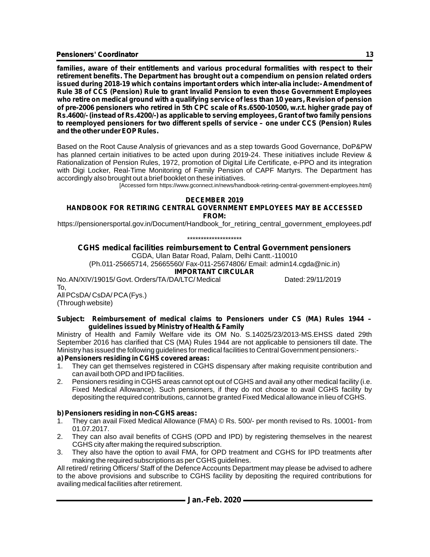*families, aware of their entitlements and various procedural formalities with respect to their retirement benefits. The Department has brought out a compendium on pension related orders*  issued during 2018-19 which contains important orders which inter-alia include:- Amendment of *Rule 38 of CCS (Pension) Rule to grant Invalid Pension to even those Government Employees who retire on medical ground with a qualifying service of less than 10 years, Revision of pension of pre-2006 pensioners who retired in 5th CPC scale of Rs.6500-10500, w.r.t. higher grade pay of Rs.4600/- (instead of Rs.4200/-) as applicable to serving employees, Grant of two family pensions to reemployed pensioners for two different spells of service – one under CCS (Pension) Rules and the other under EOPRules.*

Based on the Root Cause Analysis of grievances and as a step towards Good Governance, DoP&PW has planned certain initiatives to be acted upon during 2019-24. These initiatives include Review & Rationalization of Pension Rules, 1972, promotion of Digital Life Certificate, e-PPO and its integration with Digi Locker, Real-Time Monitoring of Family Pension of CAPF Martyrs. The Department has accordingly also brought out a brief booklet on these initiatives.

[Accessed form https://www.gconnect.in/news/handbook-retiring-central-government-employees.html}

### **DECEMBER 2019**

#### **HANDBOOK FOR RETIRING CENTRAL GOVERNMENT EMPLOYEES MAY BE ACCESSED FROM:**

https://pensionersportal.gov.in/Document/Handbook\_for\_retiring\_central\_government\_employees.pdf

\*\*\*\*\*\*\*\*\*\*\*\*\*\*\*\*\*\*\*\*

### **CGHS medical facilities reimbursement to Central Government pensioners**

CGDA, Ulan Batar Road, Palam, Delhi Cantt.-110010

(Ph.011-25665714, 25665560/ Fax-011-25674806/ Email: admin14.cgda@nic.in)

#### **IMPORTANT CIRCULAR**

No. AN/XIV/19015/ Govt. Orders/TA/DA/LTC/ Medical Dated: 29/11/2019 To, All PCsDA/ CsDA/ PCA(Fys.)

(Through website)

#### **Subject: Reimbursement of medical claims to Pensioners under CS (MA) Rules 1944 – guidelines issued by Ministry of Health & Family**

Ministry of Health and Family Welfare vide its OM No. S.14025/23/2013-MS.EHSS dated 29th September 2016 has clarified that CS (MA) Rules 1944 are not applicable to pensioners till date. The Ministry has issued the following guidelines for medical facilities to Central Government pensioners: **a) Pensioners residing in CGHS covered areas:**

- 1. They can get themselves registered in CGHS dispensary after making requisite contribution and can avail both OPD and IPD facilities.
- 2. Pensioners residing in CGHS areas cannot opt out of CGHS and avail any other medical facility (i.e. Fixed Medical Allowance). Such pensioners, if they do not choose to avail CGHS facility by depositing the required contributions, cannot be granted Fixed Medical allowance in lieu of CGHS.

#### **b) Pensioners residing in non-CGHS areas:**

- 1. They can avail Fixed Medical Allowance (FMA) © Rs. 500/- per month revised to Rs. 10001- from 01.07.2017.
- 2. They can also avail benefits of CGHS (OPD and IPD) by registering themselves in the nearest CGHS city after making the required subscription.
- 3. They also have the option to avail FMA, for OPD treatment and CGHS for IPD treatments after making the required subscriptions as per CGHS guidelines.

All retired/ retiring Officers/ Staff of the Defence Accounts Department may please be advised to adhere to the above provisions and subscribe to CGHS facility by depositing the required contributions for availing medical facilities after retirement.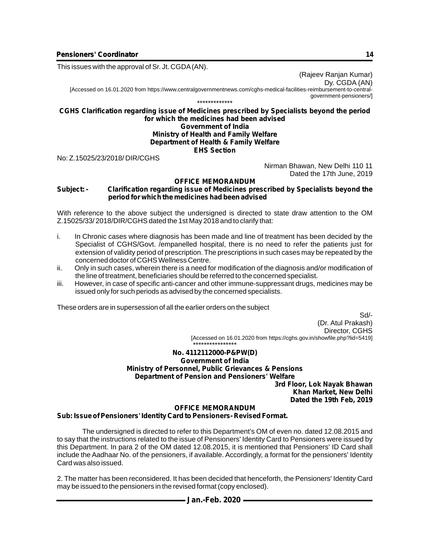This issues with the approval of Sr. Jt. CGDA(AN).

(Rajeev Ranjan Kumar) Dy. CGDA (AN)

[Accessed on 16.01.2020 from https://www.centralgovernmentnews.com/cghs-medical-facilities-reimbursement-to-centralgovernment-pensioners/] \*\*\*\*\*\*\*\*\*\*\*\*\*

#### **CGHS Clarification regarding issue of Medicines prescribed by Specialists beyond the period for which the medicines had been advised Government of India**

#### **Ministry of Health and Family Welfare Department of Health & Family Welfare EHS Section**

No: Z.15025/23/2018/ DIR/CGHS

Nirman Bhawan, New Delhi 110 11 Dated the 17th June, 2019

#### **OFFICE MEMORANDUM**

#### **Subject: - Clarification regarding issue of Medicines prescribed by Specialists beyond the period for which the medicines had been advised**

With reference to the above subject the undersigned is directed to state draw attention to the OM Z.15025/33/ 2018/DIR/CGHS dated the 1st May 2018 and to clarify that:

- i. In Chronic cases where diagnosis has been made and line of treatment has been decided by the Specialist of CGHS/Govt. /empanelled hospital, there is no need to refer the patients just for extension of validity period of prescription. The prescriptions in such cases may be repeated by the concerned doctor of CGHS Wellness Centre.
- ii. Only in such cases, wherein there is a need for modification of the diagnosis and/or modification of the line of treatment, beneficiaries should be referred to the concerned specialist.
- iii. However, in case of specific anti-cancer and other immune-suppressant drugs, medicines may be issued only for such periods as advised by the concerned specialists.

These orders are in supersession of all the earlier orders on the subject

Sd/- (Dr. Atul Prakash) Director, CGHS [Accessed on 16.01.2020 from https://cghs.gov.in/showfile.php?lid=5419]

#### \*\*\*\*\*\*\*\*\*\*\*\*\*\*\*\* **No. 4112112000-P&PW(D) Government of India Ministry of Personnel, Public Grievances & Pensions Department of Pension and Pensioners' Welfare**

**3rd Floor, Lok Nayak Bhawan Khan Market, New Delhi Dated the 19th Feb, 2019**

#### **OFFICE MEMORANDUM**

#### **Sub: Issue of Pensioners' Identity Card to Pensioners- Revised Format.**

The undersigned is directed to refer to this Department's OM of even no. dated 12.08.2015 and to say that the instructions related to the issue of Pensioners' Identity Card to Pensioners were issued by this Department. In para 2 of the OM dated 12.08.2015, it is mentioned that Pensioners' ID Card shall include the Aadhaar No. of the pensioners, if available. Accordingly, a format for the pensioners' Identity Card was also issued.

2. The matter has been reconsidered. It has been decided that henceforth, the Pensioners' Identity Card may be issued to the pensioners in the revised format (copy enclosed).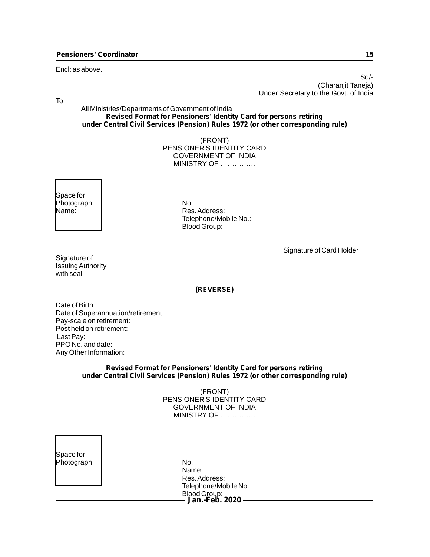#### Encl: as above.

 Sd/- (Charanjit Taneja) Under Secretary to the Govt. of India

To

All Ministries/Departments of Government of India **Revised Format for Pensioners' Identity Card for persons retiring under Central Civil Services (Pension) Rules 1972 (or other corresponding rule)**

> (FRONT) PENSIONER'S IDENTITY CARD GOVERNMENT OF INDIA MINISTRY OF ……………

Space for Photograph No.<br>Name: Name: Res

Res. Address: Telephone/Mobile No.: Blood Group:

Signature of Card Holder

| Signature of      |
|-------------------|
| Issuing Authority |
| with seal         |

#### **(REVERSE)**

Date of Birth: Date of Superannuation/retirement: Pay-scale on retirement: Post held on retirement: Last Pay: PPO No. and date: Any Other Information:

#### **Revised Format for Pensioners' Identity Card for persons retiring under Central Civil Services (Pension) Rules 1972 (or other corresponding rule)**

(FRONT) PENSIONER'S IDENTITY CARD GOVERNMENT OF INDIA MINISTRY OF ……………

| Space for  |     |
|------------|-----|
| Photograph | No. |

**Jan.-Feb. 2020** Name: Res. Address: Telephone/Mobile No.: Blood Group: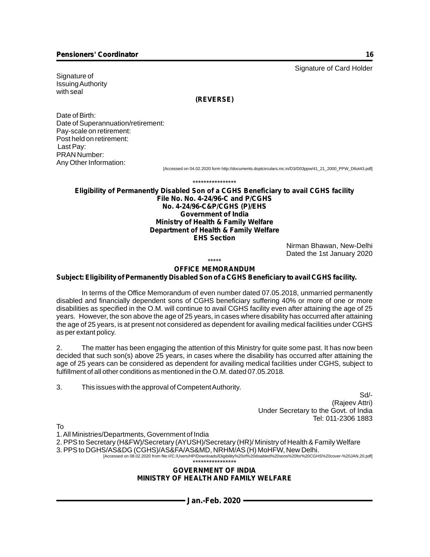Signature of Issuing Authority with seal

#### **(REVERSE)**

Date of Birth: Date of Superannuation/retirement: Pay-scale on retirement: Post held on retirement: Last Pay: PRAN Number: Any Other Information:

[Accessed on 04.02.2020 form http://documents.doptcirculars.nic.in/D3/D03ppw/41\_21\_2000\_PPW\_D6ot43.pdf]

\*\*\*\*\*\*\*\*\*\*\*\*\*\*\*\*

**Eligibility of Permanently Disabled Son of a CGHS Beneficiary to avail CGHS facility File No. No. 4-24/96-C and P/CGHS No. 4-24/96-C&P/CGHS (P)/EHS Government of India Ministry of Health & Family Welfare Department of Health & Family Welfare EHS Section**

> Nirman Bhawan, New-Delhi Dated the 1st January 2020

#### \*\*\*\*\*

#### **OFFICE MEMORANDUM**

### **Subject: Eligibility of Permanently Disabled Son of a CGHS Beneficiary to avail CGHS facility.**

In terms of the Office Memorandum of even number dated 07.05.2018, unmarried permanently disabled and financially dependent sons of CGHS beneficiary suffering 40% or more of one or more disabilities as specified in the O.M. will continue to avail CGHS facility even after attaining the age of 25 years. However, the son above the age of 25 years, in cases where disability has occurred after attaining the age of 25 years, is at present not considered as dependent for availing medical facilities under CGHS as per extant policy.

2. The matter has been engaging the attention of this Ministry for quite some past. It has now been decided that such son(s) above 25 years, in cases where the disability has occurred after attaining the age of 25 years can be considered as dependent for availing medical facilities under CGHS, subject to fulfillment of all other conditions as mentioned in the O.M. dated 07.05.2018.

3. This issues with the approval of Competent Authority.

 Sd/- (Rajeev Attri) Under Secretary to the Govt. of India Tel: 011-2306 1883

To

1. All Ministries/Departments, Government of India

2. PPS to Secretary (H&FW)/Secretary (AYUSH)/Secretary (HR)/ Ministry of Health & Family Welfare

3. PPS to DGHS/AS&DG (CGHS)/AS&FA/AS&MD, NRHM/AS (H) MoHFW, New Delhi.

[Accessed on 08.02.2020 from file:///C:/Users/HP/Downloads/Eligibility%20of%20disabled%20sons%20for%20CGHS%20cover-%20JAN,20.pdf] \*\*\*\*\*\*\*\*\*\*\*\*\*\*\*\*

#### **GOVERNMENT OF INDIA MINISTRY OF HEALTH AND FAMILY WELFARE**

Signature of Card Holder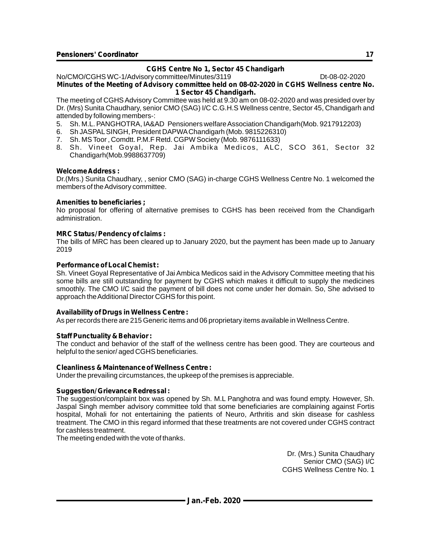### **CGHS Centre No 1, Sector 45 Chandigarh**

No/CMO/CGHS WC-1/Advisory committee/Minutes/3119 Dt-08-02-2020 **Minutes of the Meeting of Advisory committee held on 08-02-2020 in CGHS Wellness centre No. 1 Sector 45 Chandigarh.**

The meeting of CGHS Advisory Committee was held at 9.30 am on 08-02-2020 and was presided over by Dr. (Mrs) Sunita Chaudhary, senior CMO (SAG) I/C C.G.H.S Wellness centre, Sector 45, Chandigarh and attended by following members-:

- 5. Sh. M.L. PANGHOTRA, IA&AD Pensioners welfare Association Chandigarh(Mob. 9217912203)
- 6. Sh JASPALSINGH, President DAPWAChandigarh (Mob. 9815226310)
- 7. Sh. MS Toor , Comdtt. P.M.F Retd. CGPW Society (Mob. 9876111633)
- 8. Sh. Vineet Goyal, Rep. Jai Ambika Medicos, ALC, SCO 361, Sector 32 Chandigarh(Mob.9988637709)

#### **Welcome Address :**

Dr.(Mrs.) Sunita Chaudhary, , senior CMO (SAG) in-charge CGHS Wellness Centre No. 1 welcomed the members of the Advisory committee.

#### **Amenities to beneficiaries ;**

No proposal for offering of alternative premises to CGHS has been received from the Chandigarh administration.

#### **MRC Status/ Pendency of claims :**

The bills of MRC has been cleared up to January 2020, but the payment has been made up to January 2019

#### **Performance of Local Chemist :**

Sh. Vineet Goyal Representative of Jai Ambica Medicos said in the Advisory Committee meeting that his some bills are still outstanding for payment by CGHS which makes it difficult to supply the medicines smoothly. The CMO I/C said the payment of bill does not come under her domain. So, She advised to approach the Additional Director CGHS for this point.

#### **Availability of Drugs in Wellness Centre :**

As per records there are 215 Generic items and 06 proprietary items available in Wellness Centre.

#### **Staff Punctuality & Behavior :**

The conduct and behavior of the staff of the wellness centre has been good. They are courteous and helpful to the senior/ aged CGHS beneficiaries.

#### **Cleanliness & Maintenance of Wellness Centre :**

Under the prevailing circumstances, the upkeep of the premises is appreciable.

#### **Suggestion/ Grievance Redressal :**

The suggestion/complaint box was opened by Sh. M.L Panghotra and was found empty. However, Sh. Jaspal Singh member advisory committee told that some beneficiaries are complaining against Fortis hospital, Mohali for not entertaining the patients of Neuro, Arthritis and skin disease for cashless treatment. The CMO in this regard informed that these treatments are not covered under CGHS contract for cashless treatment.

The meeting ended with the vote of thanks.

Dr. (Mrs.) Sunita Chaudhary Senior CMO (SAG) I/C CGHS Wellness Centre No. 1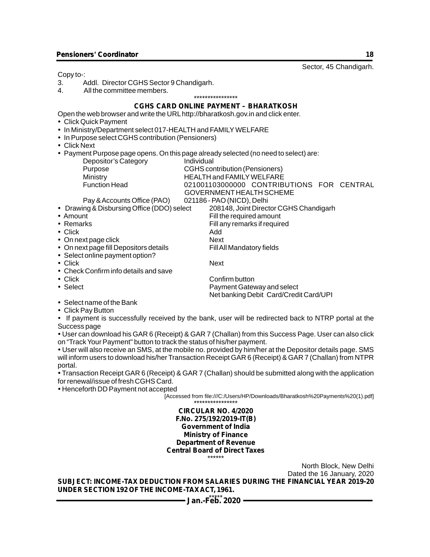Sector, 45 Chandigarh. Copy to-: 3. Addl. Director CGHS Sector 9 Chandigarh.<br>4. All the committee members. All the committee members. \*\*\*\*\*\*\*\*\*\*\*\*\*\*\*\* **CGHS CARD ONLINE PAYMENT – BHARATKOSH** ?Open the web browser and write the URLhttp://bharatkosh.gov.in and click enter. Click Quick Payment • In Ministry/Department select 017-HEALTH and FAMILY WELFARE In Purpose select CGHS contribution (Pensioners) Click Next Payment Purpose page opens. On this page already selected (no need to select) are: Depositor's Category **Individual**<br>
Purpose CGHS cor Purpose **CGHS contribution (Pensioners)**<br>Ministry **CGHS CONTRAINEY WELFARE** Ministry HEALTH and FAMILYWELFARE 021001103000000 CONTRIBUTIONS FOR CENTRAL GOVERNMENT HEALTH SCHEME Pay & Accounts Office (PAO) 021186 - PAO (NICD), Delhi<br>Drawing & Disbursing Office (DDO) select 208148, Joint Direct • Drawing & Disbursing Office (DDO) select 208148, Joint Director CGHS Chandigarh<br>
Fill the required amount • Amount Fill the required amount<br>• Remarks Fill any remarks if required amount • Remarks Fill any remarks if required<br>• Click by a set of the Add Click Add • On next page click  $\begin{array}{ccc} \bullet & \bullet & \bullet \\ \bullet & \bullet & \bullet & \end{array}$  Next  $\begin{array}{ccc} \bullet & \bullet & \bullet & \bullet \\ \bullet & \bullet & \bullet & \end{array}$  Fill All Mandatory fields • On next page fill Depositors details • Select online payment option? Click Next Check Confirm info details and save • Click Confirm button<br>• Select Confirm button Cateville Confirm button Cateville Confirm button Cateville Confirm button Cateville Payment Gateway and select Net banking Debit Card/Credit Card/UPI Select name of the Bank • In Ministry,<br>• In Purpose<br>• Click Next<br>• Payment F • Drawing &<br>• Amount<br>• Remarks<br>• Click<br>• On next pa<br>• Select onlick<br>• Click<br>• Click<br>• Click Pay F<br>• Click Pay F<br>• Click Pay F<br>• Lick Pay F<br>• User can don "Track Yo<br>• User will als<br>• User will als<br>• User will als<br>• Transact

Click Pay Button

If payment is successfully received by the bank, user will be redirected back to NTRP portal at the Success page

User can download his GAR 6 (Receipt) & GAR 7 (Challan) from this Success Page. User can also click on "Track Your Payment" button to track the status of his/her payment.

User will also receive an SMS, at the mobile no. provided by him/her at the Depositor details page. SMS will inform users to download his/her Transaction Receipt GAR 6 (Receipt) & GAR 7 (Challan) from NTPR portal.

Transaction Receipt GAR 6 (Receipt) & GAR 7 (Challan) should be submitted along with the application for renewal/issue of fresh CGHS Card.

Henceforth DD Payment not accepted

[Accessed from file:///C:/Users/HP/Downloads/Bharatkosh%20Payments%20(1).pdf]

\*\*\*\*\*\*\*\*\*\*\*\*\*\*\*\* **CIRCULAR NO. 4/2020 F.No. 275/192/2019-IT(B) Government of India Ministry of Finance Department of Revenue Central Board of Direct Taxes** \*\*\*\*\*\*

North Block, New Delhi Dated the 16 January, 2020

**SUBJECT: INCOME-TAX DEDUCTION FROM SALARIES DURING THE FINANCIAL YEAR 2019-20 UNDER SECTION 192 OF THE INCOME-TAX ACT, 1961.**

Jan.-F<sup>\*\*\*\*\*</sup> 2020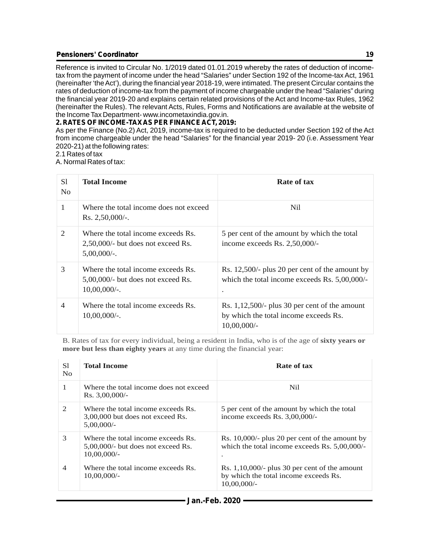Reference is invited to Circular No. 1/2019 dated 01.01.2019 whereby the rates of deduction of incometax from the payment of income under the head "Salaries" under Section 192 of the Income-tax Act, 1961 (hereinafter 'the Act'), during the financial year 2018-19, were intimated. The present Circular contains the rates of deduction of income-tax from the payment of income chargeable under the head "Salaries" during the financial year 2019-20 and explains certain related provisions of the Act and Income-tax Rules, 1962 (hereinafter the Rules). The relevant Acts, Rules, Forms and Notifications are available at the website of the Income Tax Department- www.incometaxindia.gov.in.

### **2. RATES OF INCOME-TAX AS PER FINANCE ACT, 2019:**

As per the Finance (No.2) Act, 2019, income-tax is required to be deducted under Section 192 of the Act from income chargeable under the head "Salaries" for the financial year 2019- 20 (i.e. Assessment Year 2020-21) at the following rates:

2.1 Rates of tax

A. Normal Rates of tax:

| S1<br>N <sub>0</sub> | <b>Total Income</b>                                                                            | Rate of tax                                                                                                |
|----------------------|------------------------------------------------------------------------------------------------|------------------------------------------------------------------------------------------------------------|
| 1                    | Where the total income does not exceed<br>$Rs. 2,50,000/-.$                                    | Nil                                                                                                        |
| 2                    | Where the total income exceeds Rs.<br>2,50,000/- but does not exceed Rs.<br>$5,00,000/$ -.     | 5 per cent of the amount by which the total<br>income exceeds Rs. 2,50,000/-                               |
| 3                    | Where the total income exceeds Rs.<br>$5,00,000/$ - but does not exceed Rs.<br>$10,00,000/$ -. | Rs. 12,500/- plus 20 per cent of the amount by<br>which the total income exceeds Rs. 5,00,000/-            |
| 4                    | Where the total income exceeds Rs.<br>$10,00,000/$ -.                                          | Rs. $1,12,500$ - plus 30 per cent of the amount<br>by which the total income exceeds Rs.<br>$10,00,000/$ - |

B. Rates of tax for every individual, being a resident in India, who is of the age of **sixty years or more but less than eighty years** at any time during the financial year:

| S1<br>N <sub>0</sub> | <b>Total Income</b>                                                                           | Rate of tax                                                                                                 |
|----------------------|-----------------------------------------------------------------------------------------------|-------------------------------------------------------------------------------------------------------------|
|                      | Where the total income does not exceed<br>$Rs. 3,00,000/$ -                                   | Nil.                                                                                                        |
| 2                    | Where the total income exceeds Rs.<br>3,00,000 but does not exceed Rs.<br>5,00,000/           | 5 per cent of the amount by which the total<br>income exceeds Rs. $3,00,000/$ -                             |
| 3                    | Where the total income exceeds Rs.<br>$5,00,000/$ - but does not exceed Rs.<br>$10,00,000/$ - | Rs. 10,000/- plus 20 per cent of the amount by<br>which the total income exceeds Rs. 5,00,000/-             |
| $\overline{4}$       | Where the total income exceeds Rs.<br>$10,00,000/$ -                                          | Rs. $1,10,000/$ - plus 30 per cent of the amount<br>by which the total income exceeds Rs.<br>$10,00,000/$ - |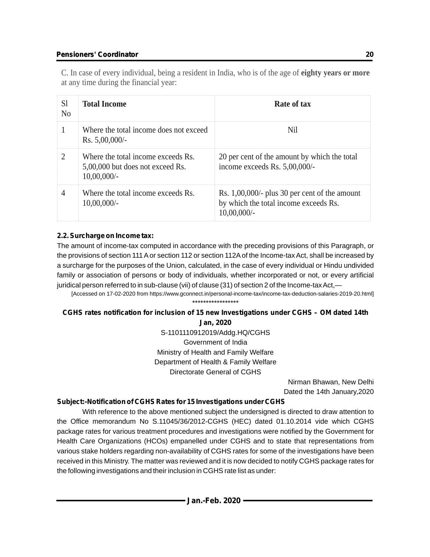C. In case of every individual, being a resident in India, who is of the age of **eighty years or more** at any time during the financial year:

| S <sub>1</sub><br>N <sub>0</sub> | <b>Total Income</b>                                                                      | Rate of tax                                                                                                 |
|----------------------------------|------------------------------------------------------------------------------------------|-------------------------------------------------------------------------------------------------------------|
|                                  | Where the total income does not exceed<br>$Rs. 5,00,000/$ -                              | Nil                                                                                                         |
| $\mathcal{D}_{\mathcal{L}}$      | Where the total income exceeds Rs.<br>5,00,000 but does not exceed Rs.<br>$10,00,000/$ - | 20 per cent of the amount by which the total<br>income exceeds Rs. 5,00,000/-                               |
| 4                                | Where the total income exceeds Rs.<br>$10,00,000/$ -                                     | Rs. $1,00,000/$ - plus 30 per cent of the amount<br>by which the total income exceeds Rs.<br>$10,00,000/$ - |

### **2.2. Surcharge on Income tax:**

The amount of income-tax computed in accordance with the preceding provisions of this Paragraph, or the provisions of section 111 Aor section 112 or section 112Aof the Income-tax Act, shall be increased by a surcharge for the purposes of the Union, calculated, in the case of every individual or Hindu undivided family or association of persons or body of individuals, whether incorporated or not, or every artificial juridical person referred to in sub-clause (vii) of clause (31) of section 2 of the Income-tax Act,—

[Accessed on 17-02-2020 from https://www.gconnect.in/personal-income-tax/income-tax-deduction-salaries-2019-20.html] \*\*\*\*\*\*\*\*\*\*\*\*\*\*\*\*\*

## **CGHS rates notification for inclusion of 15 new Investigations under CGHS – OM dated 14th**

**Jan, 2020** S-1101110912019/Addg.HQ/CGHS Government of India Ministry of Health and Family Welfare Department of Health & Family Welfare Directorate General of CGHS

> Nirman Bhawan, New Delhi Dated the 14th January,2020

### **Subject:-Notification of CGHS Rates for 15 Investigations under CGHS**

With reference to the above mentioned subject the undersigned is directed to draw attention to the Office memorandum No S.11045/36/2012-CGHS (HEC) dated 01.10.2014 vide which CGHS package rates for various treatment procedures and investigations were notified by the Government for Health Care Organizations (HCOs) empanelled under CGHS and to state that representations from various stake holders regarding non-availability of CGHS rates for some of the investigations have been received in this Ministry. The matter was reviewed and it is now decided to notify CGHS package rates for the following investigations and their inclusion in CGHS rate list as under: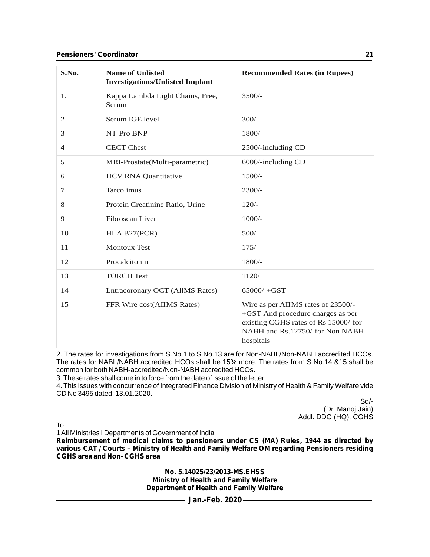| S.No.          | <b>Name of Unlisted</b><br><b>Investigations/Unlisted Implant</b> | <b>Recommended Rates (in Rupees)</b>                                                                                                                            |
|----------------|-------------------------------------------------------------------|-----------------------------------------------------------------------------------------------------------------------------------------------------------------|
| 1.             | Kappa Lambda Light Chains, Free,<br>Serum                         | $3500/-$                                                                                                                                                        |
| 2              | Serum IGE level                                                   | $300/-$                                                                                                                                                         |
| 3              | NT-Pro BNP                                                        | $1800/-$                                                                                                                                                        |
| $\overline{4}$ | <b>CECT</b> Chest                                                 | 2500/-including CD                                                                                                                                              |
| 5              | MRI-Prostate(Multi-parametric)                                    | 6000/-including CD                                                                                                                                              |
| 6              | <b>HCV RNA Quantitative</b>                                       | $1500/-$                                                                                                                                                        |
| 7              | Tarcolimus                                                        | 2300/-                                                                                                                                                          |
| 8              | Protein Creatinine Ratio, Urine                                   | $120/-$                                                                                                                                                         |
| 9              | Fibroscan Liver                                                   | $1000/-$                                                                                                                                                        |
| 10             | HLA B27(PCR)                                                      | $500/-$                                                                                                                                                         |
| 11             | <b>Montoux Test</b>                                               | $175/-$                                                                                                                                                         |
| 12             | Procalcitonin                                                     | $1800/-$                                                                                                                                                        |
| 13             | <b>TORCH Test</b>                                                 | 1120/                                                                                                                                                           |
| 14             | <b>Lntracoronary OCT (AllMS Rates)</b>                            | $65000/-+GST$                                                                                                                                                   |
| 15             | FFR Wire cost(AIIMS Rates)                                        | Wire as per AIIMS rates of 23500/-<br>+GST And procedure charges as per<br>existing CGHS rates of Rs 15000/-for<br>NABH and Rs.12750/-for Non NABH<br>hospitals |

2. The rates for investigations from S.No.1 to S.No.13 are for Non-NABL/Non-NABH accredited HCOs. The rates for NABL/NABH accredited HCOs shall be 15% more. The rates from S.No.14 &15 shall be common for both NABH-accredited/Non-NABH accredited HCOs.

3. These rates shall come in to force from the date of issue of the letter

4. This issues with concurrence of Integrated Finance Division of Ministry of Health & Family Welfare vide CD No 3495 dated: 13.01.2020.

Sd/- (Dr. Manoj Jain) Addl. DDG (HQ), CGHS

To

1 All Ministries I Departments of Government of India

**Reimbursement of medical claims to pensioners under CS (MA) Rules, 1944 as directed by various CAT / Courts – Ministry of Health and Family Welfare OM regarding Pensioners residing CGHS area and Non- CGHS area**

> **No. 5.14025/23/2013-MS.EHSS Ministry of Health and Family Welfare Department of Health and Family Welfare**

> > **Jan.-Feb. 2020**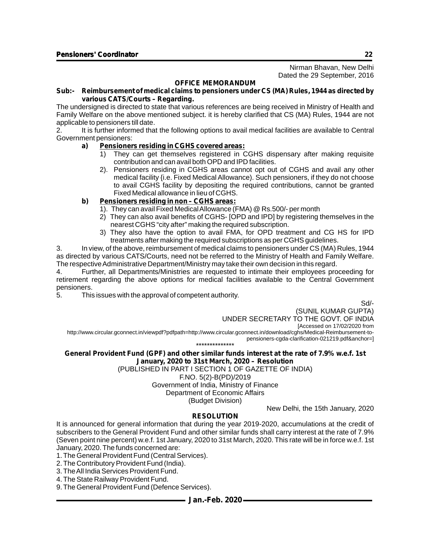Nirman Bhavan, New Delhi Dated the 29 September, 2016

#### **OFFICE MEMORANDUM**

#### **Sub:- Reimbursement of medical claims to pensioners under CS (MA) Rules, 1944 as directed by various CATS/Courts – Regarding.**

The undersigned is directed to state that various references are being received in Ministry of Health and Family Welfare on the above mentioned subject. it is hereby clarified that CS (MA) Rules, 1944 are not applicable to pensioners till date.

2. It is further informed that the following options to avail medical facilities are available to Central Government pensioners:

#### **a) Pensioners residing in CGHS covered areas:**

- 1) They can get themselves registered in CGHS dispensary after making requisite contribution and can avail both OPD and IPD facilities.
- 2). Pensioners residing in CGHS areas cannot opt out of CGHS and avail any other medical facility {i.e. Fixed Medical Allowance). Such pensioners, if they do not choose to avail CGHS facility by depositing the required contributions, cannot be granted Fixed Medical allowance in lieu of CGHS.

#### **b) Pensioners residing in non – CGHS areas:**

- 1). They can avail Fixed Medical Allowance (FMA) @ Rs.500/- per month
- 2) They can also avail benefits of CGHS- [OPD and IPD] by registering themselves in the nearest CGHS "city after" making the required subscription.
- 3) They also have the option to avail FMA, for OPD treatment and CG HS for IPD treatments after making the required subscriptions as per CGHS guidelines.

3. In view, of the above, reimbursement of medical claims to pensioners under CS (MA) Rules, 1944 as directed by various CATS/Courts, need not be referred to the Ministry of Health and Family Welfare. The respective Administrative Department/Ministry may take their own decision in this regard.

4. Further, all Departments/Ministries are requested to intimate their employees proceeding for retirement regarding the above options for medical facilities available to the Central Government pensioners.

5. This issues with the approval of competent authority.

Sd/-

(SUNIL KUMAR GUPTA) UNDER SECRETARY TO THE GOVT. OF INDIA [Accessed on 17/02/2020 from http://www.circular.gconnect.in/viewpdf?pdfpath=http://www.circular.gconnect.in/download/cghs/Medical-Reimbursement-topensioners-cgda-clarification-021219.pdf&anchor=]

\*\*\*\*\*\*\*\*\*\*\*\*\*\*

#### **General Provident Fund (GPF) and other similar funds interest at the rate of 7.9% w.e.f. 1st January, 2020 to 31st March, 2020 – Resolution**

(PUBLISHED IN PART I SECTION 1 OF GAZETTE OF INDIA) F.NO. 5(2)-B(PD)/2019 Government of India, Ministry of Finance Department of Economic Affairs

(Budget Division)

New Delhi, the 15th January, 2020

#### **RESOLUTION**

It is announced for general information that during the year 2019-2020, accumulations at the credit of subscribers to the General Provident Fund and other similar funds shall carry interest at the rate of 7.9% (Seven point nine percent) w.e.f. 1st January, 2020 to 31st March, 2020. This rate will be in force w.e.f. 1st January, 2020. The funds concerned are:

1. The General Provident Fund (Central Services).

- 2. The Contributory Provident Fund (India).
- 3. The All India Services Provident Fund.
- 4. The State Railway Provident Fund.

9. The General Provident Fund (Defence Services).

**Jan.-Feb. 2020**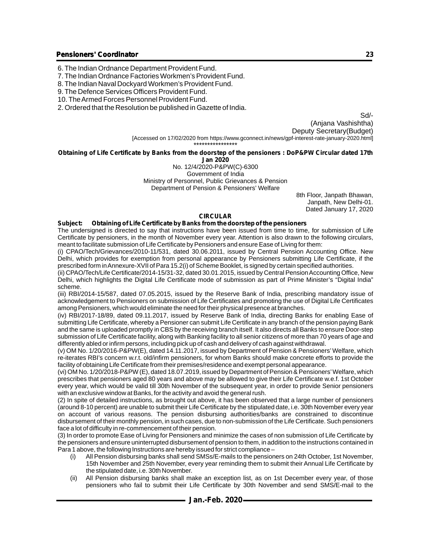- 6. The Indian Ordnance Department Provident Fund.
- 7. The Indian Ordnance Factories Workmen's Provident Fund.

8. The Indian Naval Dockyard Workmen's Provident Fund.

9. The Defence Services Officers Provident Fund.

10. The Armed Forces Personnel Provident Fund.

2. Ordered that the Resolution be published in Gazette of India.

Sd/- (Anjana Vashishtha) Deputy Secretary(Budget) [Accessed on 17/02/2020 from https://www.gconnect.in/news/gpf-interest-rate-january-2020.html] \*\*\*\*\*\*\*\*\*\*\*\*\*\*\*\*

### **Obtaining of Life Certificate by Banks from the doorstep of the pensioners : DoP&PW Circular dated 17th**

**Jan 2020**

No. 12/4/2020-P&PW(C)-6300 Government of India

Ministry of Personnel, Public Grievances & Pension

Department of Pension & Pensioners' Welfare

8th Floor, Janpath Bhawan, Janpath, New Delhi-01. Dated January 17, 2020

#### **CIRCULAR**

#### **Subject: Obtaining of Life Certificate by Banks from the doorstep of the pensioners**

The undersigned is directed to say that instructions have been issued from time to time, for submission of Life Certificate by pensioners, in the month of November every year. Attention is also drawn to the following circulars, meant to facilitate submission of Life Certificate by Pensioners and ensure Ease of Living for them:

(i) CPAO/Tech/Grievances/2010-11/531, dated 30.06.2011, issued by Central Pension Accounting Office. New Delhi, which provides for exemption from personal appearance by Pensioners submitting Life Certificate, if the prescribed form in Annexure-XVII of Para 15.2(i) of Scheme Booklet, is signed by certain specified authorities.

(ii) CPAO/Tech/Life Certificate/2014-15/31-32, dated 30.01.2015, issued by Central Pension Accounting Office, New Delhi, which highlights the Digital Life Certificate mode of submission as part of Prime Minister's "Digital India" scheme.

(iii) RBI/2014-15/587, dated 07.05.2015, issued by the Reserve Bank of India, prescribing mandatory issue of acknowledgement to Pensioners on submission of Life Certificates and promoting the use of Digital Life Certificates among Pensioners, which would eliminate the need for their physical presence at branches.

(iv) RBI/2017-18/89, dated 09.11.2017, issued by Reserve Bank of India, directing Banks for enabling Ease of submitting Life Certificate, whereby a Pensioner can submit Life Certificate in any branch of the pension paying Bank and the same is uploaded promptly in CBS by the receiving branch itself. It also directs all Banks to ensure Door-step submission of Life Certificate facility, along with Banking facility to all senior citizens of more than 70 years of age and differently abled or infirm persons, including pick up of cash and delivery of cash against withdrawal.

(v) OM No. 1/20/2016-P&PW(E), dated 14.11.2017, issued by Department of Pension & Pensioners' Welfare, which re-iterates RBI's concern w.r.t. old/infirm pensioners, for whom Banks should make concrete efforts to provide the facility of obtaining Life Certificate from their premises/residence and exempt personal appearance.

(vi) OM No. 1/20/2018-P&PW (E), dated 18.07.2019, issued by Department of Pension & Pensioners'Welfare, which prescribes that pensioners aged 80 years and above may be allowed to give their Life Certificate w.e.f. 1st October every year, which would be valid till 30th November of the subsequent year, in order to provide Senior pensioners with an exclusive window at Banks, for the activity and avoid the general rush.

(2) In spite of detailed instructions, as brought out above, it has been observed that a large number of pensioners (around 8-10 percent) are unable to submit their Life Certificate by the stipulated date, i.e. 30th November every year on account of various reasons. The pension disbursing authorities/banks are constrained to discontinue disbursement of their monthly pension, in such cases, due to non-submission of the Life Certificate. Such pensioners face a lot of difficulty in re-commencement of their pension.

(3) In order to promote Ease of Living for Pensioners and minimize the cases of non submission of Life Certificate by the pensioners and ensure uninterrupted disbursement of pension to them, in addition to the instructions contained in Para 1 above, the following Instructions are hereby issued for strict compliance –

- (i) All Pension disbursing banks shall send SMSs/E-mails to the pensioners on 24th October, 1st November, 15th November and 25th November, every year reminding them to submit their Annual Life Certificate by the stipulated date, i.e. 30th November.
- (ii) All Pension disbursing banks shall make an exception list, as on 1st December every year, of those pensioners who fail to submit their Life Certificate by 30th November and send SMS/E-mail to the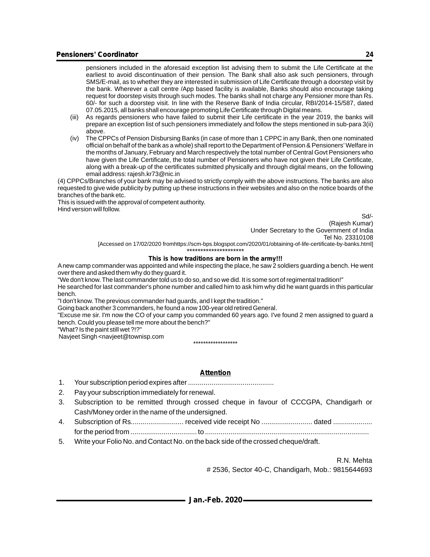pensioners included in the aforesaid exception list advising them to submit the Life Certificate at the earliest to avoid discontinuation of their pension. The Bank shall also ask such pensioners, through SMS/E-mail, as to whether they are interested in submission of Life Certificate through a doorstep visit by the bank. Wherever a call centre /App based facility is available, Banks should also encourage taking request for doorstep visits through such modes. The banks shall not charge any Pensioner more than Rs. 60/- for such a doorstep visit. In line with the Reserve Bank of India circular, RBI/2014-15/587, dated 07.05.2015, all banks shall encourage promoting Life Certificate through Digital means.

- (iii) As regards pensioners who have failed to submit their Life certificate in the year 2019, the banks will prepare an exception list of such pensioners immediately and follow the steps mentioned in sub-para 3(ii) above.
- (iv) The CPPCs of Pension Disbursing Banks (in case of more than 1 CPPC in any Bank, then one nominated official on behalf of the bank as a whole) shall report to the Department of Pension & Pensioners'Welfare in the months of January, February and March respectively the total number of Central Govt Pensioners who have given the Life Certificate, the total number of Pensioners who have not given their Life Certificate, along with a break-up of the certificates submitted physically and through digital means, on the following email address: rajesh.kr73@nic.in

(4) CPPCs/Branches of your bank may be advised to strictly comply with the above instructions. The banks are also requested to give wide publicity by putting up these instructions in their websites and also on the notice boards of the branches of the bank etc.

This is issued with the approval of competent authority. Hind version will follow.

Sd/-

(Rajesh Kumar) Under Secretary to the Government of India Tel No. 23310108

[Accessed on 17/02/2020 fromhttps://scm-bps.blogspot.com/2020/01/obtaining-of-life-certificate-by-banks.html] \*\*\*\*\*\*\*\*\*\*\*\*\*\*\*\*\*\*\*\*\*

#### **This is how traditions are born in the army!!!**

Anew camp commander was appointed and while inspecting the place, he saw 2 soldiers guarding a bench. He went over there and asked them why do they guard it.

"We don't know. The last commander told us to do so, and so we did. It is some sort of regimental tradition!"

He searched for last commander's phone number and called him to ask him why did he want guards in this particular bench.

"I don't know. The previous commander had guards, and I kept the tradition."

Going back another 3 commanders, he found a now 100-year old retired General.

"Excuse me sir. I'm now the CO of your camp you commanded 60 years ago. I've found 2 men assigned to guard a bench. Could you please tell me more about the bench?"

"What? Is the paint still wet ?!?"

Navjeet Singh <navjeet@townisp.com

\*\*\*\*\*\*\*\*\*\*\*\*\*\*\*\*\*\*

#### **Attention**

1. Your subscription period expires after ............................................

2. Pay your subscription immediately for renewal.

- 3. Subscription to be remitted through crossed cheque in favour of CCCGPA, Chandigarh or Cash/Money order in the name of the undersigned.
- 4. Subscription of Rs........................... received vide receipt No .......................... dated .................... for the period from .................................. to ....................................................................................
- 5. Write your Folio No. and Contact No. on the back side of the crossed cheque/draft.

R.N. Mehta # 2536, Sector 40-C, Chandigarh, Mob.: 9815644693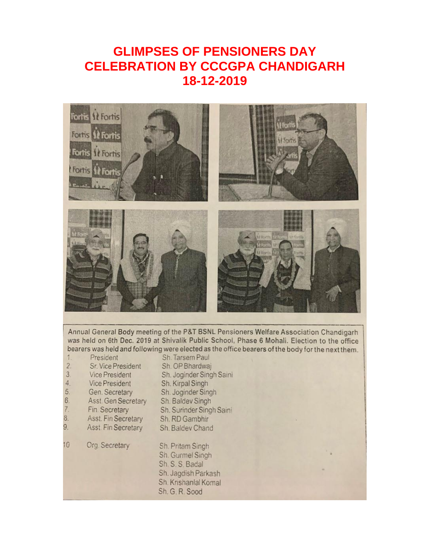# **GLIMPSES OF PENSIONERS DAY CELEBRATION BY CCCGPA CHANDIGARH 18-12-2019**



Annual General Body meeting of the P&T BSNL Pensioners Welfare Association Chandigarh was held on 6th Dec. 2019 at Shivalik Public School, Phase 6 Mohali. Election to the office bearers was held and following were elected as the office bearers of the body for the next them.

President Sh. Tarsem Paul  $1$  $\overline{2}$ Sr. Vice President Sh. OP Bhardwai  $3.$ Sh. Joginder Singh Saini Vice President  $\ddot{4}$ Vice President Sh. Kirpal Singh  $5.$ Gen. Secretary Sh. Joginder Singh  $rac{6}{7}$ Sh. Baldev Singh Asst. Gen Secretary Fin. Secretary Sh. Surinder Singh Saini 8. Asst. Fin Secretary Sh. RD Gambhir  $9<sub>1</sub>$ Asst. Fin Secretary Sh. Baldev Chand  $10<sup>10</sup>$ Org. Secretary Sh. Pritam Singh Sh. Gurmel Singh Sh. S. S. Badal Sh. Jagdish Parkash Sh. Krishanlal Komal Sh. G. R. Sood